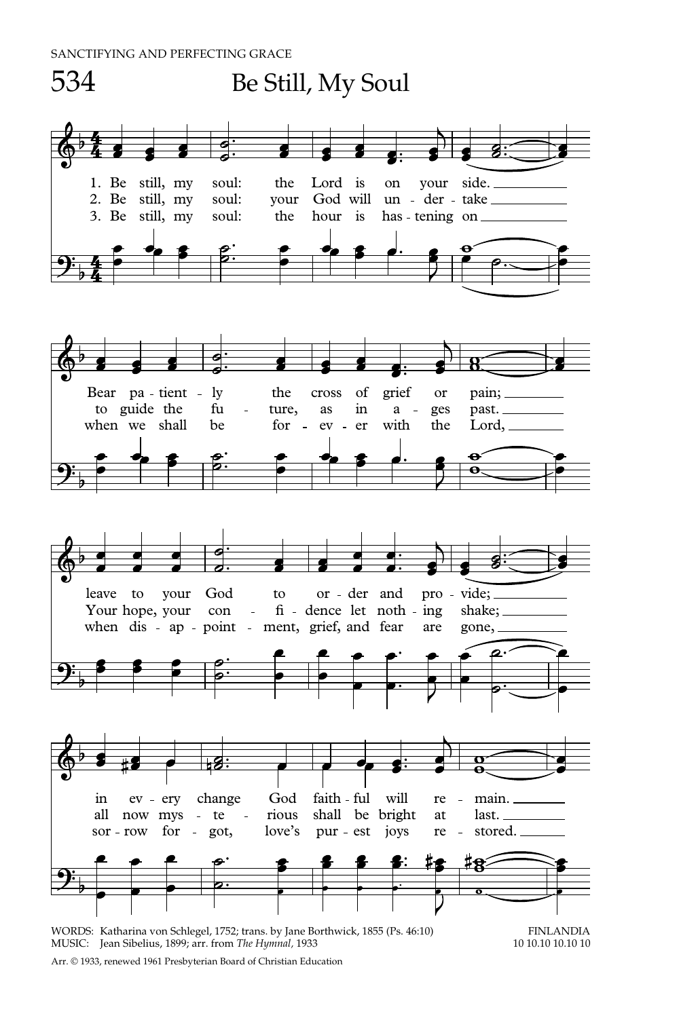

WORDS: Katharina von Schlegel, 1752; trans. by Jane Borthwick, 1855 (Ps. 46:10) FINLANDIA<br>MUSIC: Iean Sibelius. 1899: arr. from *The Hymnal*. 1933 10 10.10 10 10.10 10.10 10.10 10 MUSIC: Jean Sibelius, 1899; arr. from *The Hymnal*, 1933

Arr. © 1933, renewed 1961 Presbyterian Board of Christian Education